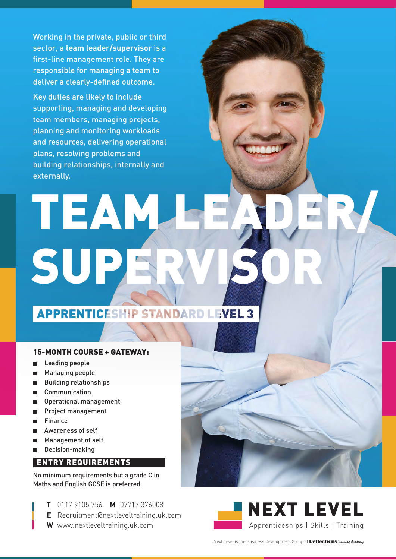Working in the private, public or third sector, a **team leader/supervisor** is a first-line management role. They are responsible for managing a team to deliver a clearly-defined outcome.

Key duties are likely to include supporting, managing and developing team members, managing projects, planning and monitoring workloads and resources, delivering operational plans, resolving problems and building relationships, internally and externally.

# TEAM SUP

**APPRENTICESHIP STANDARD LEVEL 3** 

#### 15-MONTH COURSE + GATEWAY:

- Leading people
- Managing people
- Building relationships  $\blacksquare$
- Communication п
- Operational management
- Project management
- Finance
- Awareness of self
- Management of self
- Decision-making  $\blacksquare$

### ENTRY REQUIREMENTS

No minimum requirements but a grade C in Maths and English GCSE is preferred.

- **T** 0117 9105 756 **M** 07717 376008
- **E** [Recruitment@nextleveltraining.uk.com](mailto:Recruitment@nextleveltraining.uk.com)
- **W** [www.nextleveltraining.uk.com](http://www.nextleveltraining.uk.com)



Next Level is the Business Development Group of **Reflections** Training Academy